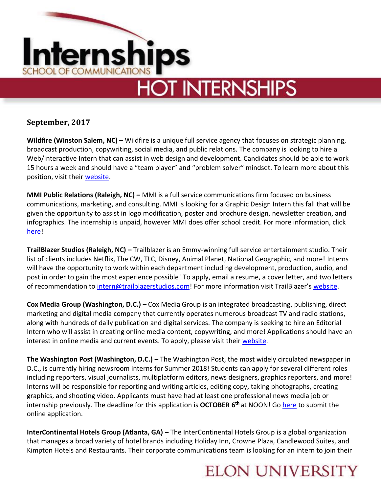

### **September, 2017**

**Wildfire (Winston Salem, NC) –** Wildfire is a unique full service agency that focuses on strategic planning, broadcast production, copywriting, social media, and public relations. The company is looking to hire a Web/Interactive Intern that can assist in web design and development. Candidates should be able to work 15 hours a week and should have a "team player" and "problem solver" mindset. To learn more about this position, visit their [website.](http://wildfireideas.com/jobs/webinteractive-internship/)

**MMI Public Relations (Raleigh, NC) – MMI** is a full service communications firm focused on business communications, marketing, and consulting. MMI is looking for a Graphic Design Intern this fall that will be given the opportunity to assist in logo modification, poster and brochure design, newsletter creation, and infographics. The internship is unpaid, however MMI does offer school credit. For more information, click [here!](http://www.mmipublicrelations.com/raleigh-pr-jobs/)

**TrailBlazer Studios (Raleigh, NC) –** Trailblazer is an Emmy-winning full service entertainment studio. Their list of clients includes Netflix, The CW, TLC, Disney, Animal Planet, National Geographic, and more! Interns will have the opportunity to work within each department including development, production, audio, and post in order to gain the most experience possible! To apply, email a resume, a cover letter, and two letters of recommendation to [intern@trailblazerstudios.com](mailto:intern@trailblazerstudios.com)! For more information visit TrailBlazer's [website.](http://www.trailblazerstudios.com/internships/)

**Cox Media Group (Washington, D.C.) –** Cox Media Group is an integrated broadcasting, publishing, direct marketing and digital media company that currently operates numerous broadcast TV and radio stations, along with hundreds of daily publication and digital services. The company is seeking to hire an Editorial Intern who will assist in creating online media content, copywriting, and more! Applications should have an interest in online media and current events. To apply, please visit their [website.](https://jobs.coxmediagroup.com/job/-/-/1646/5644802?src=JB-10003)

**The Washington Post (Washington, D.C.) –** The Washington Post, the most widely circulated newspaper in D.C., is currently hiring newsroom interns for Summer 2018! Students can apply for several different roles including reporters, visual journalists, multiplatform editors, news designers, graphics reporters, and more! Interns will be responsible for reporting and writing articles, editing copy, taking photographs, creating graphics, and shooting video. Applicants must have had at least one professional news media job or internship previously. The deadline for this application is **OCTOBER 6th** at NOON! Go [here](http://intern.washpost.com/applying.html) to submit the online application.

**InterContinental Hotels Group (Atlanta, GA) –** The InterContinental Hotels Group is a global organization that manages a broad variety of hotel brands including Holiday Inn, Crowne Plaza, Candlewood Suites, and Kimpton Hotels and Restaurants. Their corporate communications team is looking for an intern to join their

### **ELON UNIVERSITY**